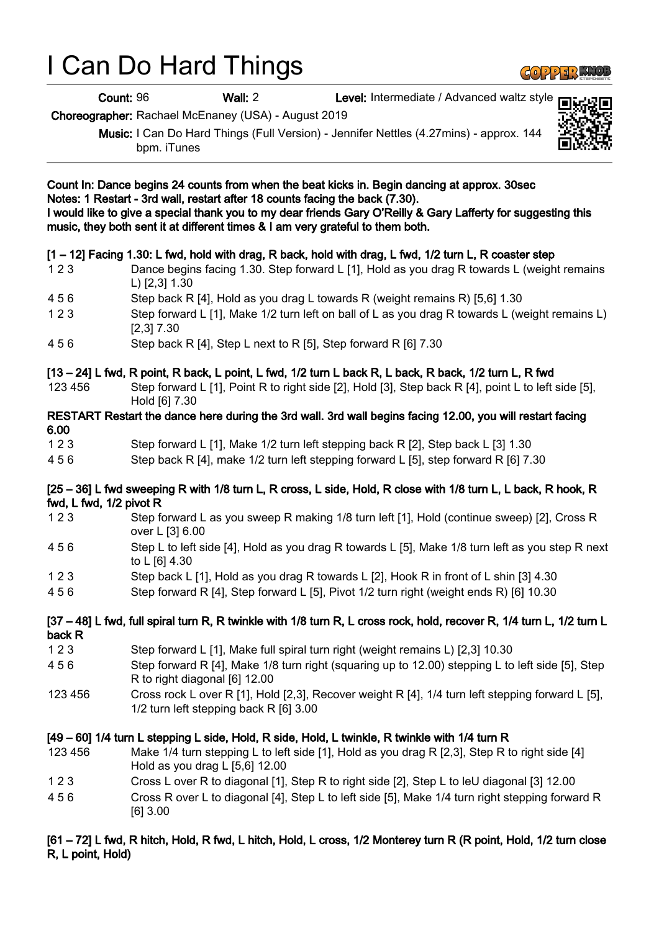# I Can Do Hard Things

Count: 96 Wall: 2 Level: Intermediate / Advanced waltz style

Choreographer: Rachael McEnaney (USA) - August 2019

Music: I Can Do Hard Things (Full Version) - Jennifer Nettles (4.27mins) - approx. 144 bpm. iTunes

| Count In: Dance begins 24 counts from when the beat kicks in. Begin dancing at approx. 30sec<br>Notes: 1 Restart - 3rd wall, restart after 18 counts facing the back (7.30).<br>I would like to give a special thank you to my dear friends Gary O'Reilly & Gary Lafferty for suggesting this<br>music, they both sent it at different times & I am very grateful to them both. |                                                                                                                                                                                                                                |
|---------------------------------------------------------------------------------------------------------------------------------------------------------------------------------------------------------------------------------------------------------------------------------------------------------------------------------------------------------------------------------|--------------------------------------------------------------------------------------------------------------------------------------------------------------------------------------------------------------------------------|
| 123                                                                                                                                                                                                                                                                                                                                                                             | [1 – 12] Facing 1.30: L fwd, hold with drag, R back, hold with drag, L fwd, 1/2 turn L, R coaster step<br>Dance begins facing 1.30. Step forward L [1], Hold as you drag R towards L (weight remains<br>L) $[2,3]$ 1.30        |
| 456                                                                                                                                                                                                                                                                                                                                                                             | Step back R [4], Hold as you drag L towards R (weight remains R) [5,6] 1.30                                                                                                                                                    |
| 123                                                                                                                                                                                                                                                                                                                                                                             | Step forward L [1], Make 1/2 turn left on ball of L as you drag R towards L (weight remains L)<br>$[2,3]$ 7.30                                                                                                                 |
| 456                                                                                                                                                                                                                                                                                                                                                                             | Step back R [4], Step L next to R [5], Step forward R [6] 7.30                                                                                                                                                                 |
| 123 456                                                                                                                                                                                                                                                                                                                                                                         | [13 – 24] L fwd, R point, R back, L point, L fwd, 1/2 turn L back R, L back, R back, 1/2 turn L, R fwd<br>Step forward L [1], Point R to right side [2], Hold [3], Step back R [4], point L to left side [5],<br>Hold [6] 7.30 |
| RESTART Restart the dance here during the 3rd wall. 3rd wall begins facing 12.00, you will restart facing<br>6.00                                                                                                                                                                                                                                                               |                                                                                                                                                                                                                                |
| 123                                                                                                                                                                                                                                                                                                                                                                             | Step forward L [1], Make 1/2 turn left stepping back R [2], Step back L [3] 1.30                                                                                                                                               |
| 456                                                                                                                                                                                                                                                                                                                                                                             | Step back R [4], make 1/2 turn left stepping forward L [5], step forward R [6] 7.30                                                                                                                                            |
| [25 – 36] L fwd sweeping R with 1/8 turn L, R cross, L side, Hold, R close with 1/8 turn L, L back, R hook, R<br>fwd, L fwd, 1/2 pivot R                                                                                                                                                                                                                                        |                                                                                                                                                                                                                                |
| 123                                                                                                                                                                                                                                                                                                                                                                             | Step forward L as you sweep R making 1/8 turn left [1], Hold (continue sweep) [2], Cross R<br>over L [3] 6.00                                                                                                                  |
| 456                                                                                                                                                                                                                                                                                                                                                                             | Step L to left side [4], Hold as you drag R towards L [5], Make 1/8 turn left as you step R next<br>to L [6] 4.30                                                                                                              |
| 123                                                                                                                                                                                                                                                                                                                                                                             | Step back L [1], Hold as you drag R towards L [2], Hook R in front of L shin [3] 4.30                                                                                                                                          |
| 456                                                                                                                                                                                                                                                                                                                                                                             | Step forward R [4], Step forward L [5], Pivot 1/2 turn right (weight ends R) [6] 10.30                                                                                                                                         |
| [37 – 48] L fwd, full spiral turn R, R twinkle with 1/8 turn R, L cross rock, hold, recover R, 1/4 turn L, 1/2 turn L<br>back R                                                                                                                                                                                                                                                 |                                                                                                                                                                                                                                |
| 123                                                                                                                                                                                                                                                                                                                                                                             | Step forward L [1], Make full spiral turn right (weight remains L) [2,3] 10.30                                                                                                                                                 |
| 456                                                                                                                                                                                                                                                                                                                                                                             | Step forward R [4], Make 1/8 turn right (squaring up to 12.00) stepping L to left side [5], Step<br>R to right diagonal [6] 12.00                                                                                              |
| 123 456                                                                                                                                                                                                                                                                                                                                                                         | Cross rock L over R [1], Hold [2,3], Recover weight R [4], 1/4 turn left stepping forward L [5],<br>1/2 turn left stepping back R [6] 3.00                                                                                     |
| [49 – 60] 1/4 turn L stepping L side, Hold, R side, Hold, L twinkle, R twinkle with 1/4 turn R                                                                                                                                                                                                                                                                                  |                                                                                                                                                                                                                                |
| 123 456                                                                                                                                                                                                                                                                                                                                                                         | Make 1/4 turn stepping L to left side [1], Hold as you drag R [2,3], Step R to right side [4]<br>Hold as you drag L [5,6] 12.00                                                                                                |
| 123                                                                                                                                                                                                                                                                                                                                                                             | Cross L over R to diagonal [1], Step R to right side [2], Step L to leU diagonal [3] 12.00                                                                                                                                     |
| 456                                                                                                                                                                                                                                                                                                                                                                             | Cross R over L to diagonal [4], Step L to left side [5], Make 1/4 turn right stepping forward R<br>$[6]$ 3.00                                                                                                                  |

#### [61 – 72] L fwd, R hitch, Hold, R fwd, L hitch, Hold, L cross, 1/2 Monterey turn R (R point, Hold, 1/2 turn close R, L point, Hold)